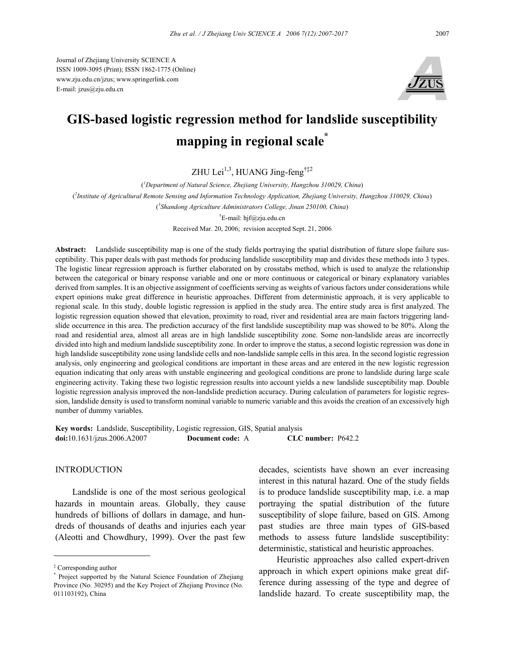Journal of Zhejiang University SCIENCE A ISSN 1009-3095 (Print); ISSN 1862-1775 (Online) www.zju.edu.cn/jzus; www.springerlink.com E-mail: jzus@zju.edu.cn



# **GIS-based logistic regression method for landslide susceptibility mapping in regional scale\***

ZHU Lei<sup>1,3</sup>, HUANG Jing-feng<sup>†‡2</sup>

( *1 Department of Natural Science, Zhejiang University, Hangzhou 310029, China*) ( *2 Institute of Agricultural Remote Sensing and Information Technology Application, Zhejiang University, Hangzhou 310029, China*) ( *3 Shandong Agriculture Administrators College, Jinan 250100, China*) † E-mail: hjf@zju.edu.cn

Received Mar. 20, 2006; revision accepted Sept. 21, 2006

**Abstract:** Landslide susceptibility map is one of the study fields portraying the spatial distribution of future slope failure susceptibility. This paper deals with past methods for producing landslide susceptibility map and divides these methods into 3 types. The logistic linear regression approach is further elaborated on by crosstabs method, which is used to analyze the relationship between the categorical or binary response variable and one or more continuous or categorical or binary explanatory variables derived from samples. It is an objective assignment of coefficients serving as weights of various factors under considerations while expert opinions make great difference in heuristic approaches. Different from deterministic approach, it is very applicable to regional scale. In this study, double logistic regression is applied in the study area. The entire study area is first analyzed. The logistic regression equation showed that elevation, proximity to road, river and residential area are main factors triggering landslide occurrence in this area. The prediction accuracy of the first landslide susceptibility map was showed to be 80%. Along the road and residential area, almost all areas are in high landslide susceptibility zone. Some non-landslide areas are incorrectly divided into high and medium landslide susceptibility zone. In order to improve the status, a second logistic regression was done in high landslide susceptibility zone using landslide cells and non-landslide sample cells in this area. In the second logistic regression analysis, only engineering and geological conditions are important in these areas and are entered in the new logistic regression equation indicating that only areas with unstable engineering and geological conditions are prone to landslide during large scale engineering activity. Taking these two logistic regression results into account yields a new landslide susceptibility map. Double logistic regression analysis improved the non-landslide prediction accuracy. During calculation of parameters for logistic regression, landslide density is used to transform nominal variable to numeric variable and this avoids the creation of an excessively high number of dummy variables.

**Key words:** Landslide, Susceptibility, Logistic regression, GIS, Spatial analysis **doi:**10.1631/jzus.2006.A2007 **Document code:** A **CLC number:** P642.2

## **INTRODUCTION**

Landslide is one of the most serious geological hazards in mountain areas. Globally, they cause hundreds of billions of dollars in damage, and hundreds of thousands of deaths and injuries each year (Aleotti and Chowdhury, 1999). Over the past few

decades, scientists have shown an ever increasing interest in this natural hazard. One of the study fields is to produce landslide susceptibility map, i.e. a map portraying the spatial distribution of the future susceptibility of slope failure, based on GIS. Among past studies are three main types of GIS-based methods to assess future landslide susceptibility: deterministic, statistical and heuristic approaches.

Heuristic approaches also called expert-driven approach in which expert opinions make great difference during assessing of the type and degree of landslide hazard. To create susceptibility map, the

<sup>‡</sup> Corresponding author

<sup>\*</sup> Project supported by the Natural Science Foundation of Zhejiang Province (No. 30295) and the Key Project of Zhejiang Province (No. 011103192), China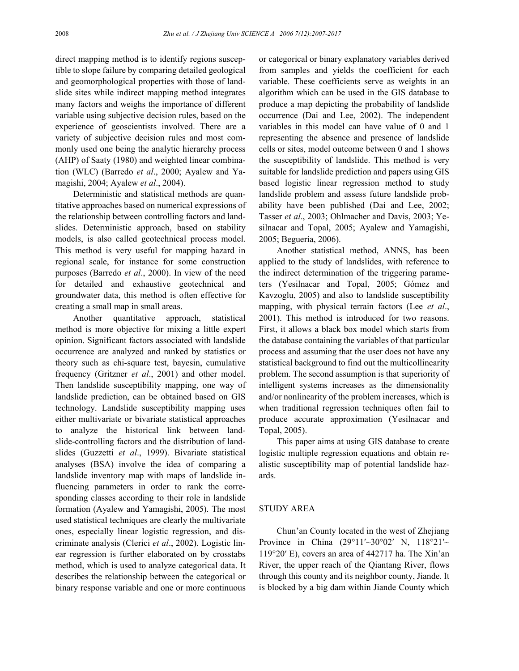direct mapping method is to identify regions susceptible to slope failure by comparing detailed geological and geomorphological properties with those of landslide sites while indirect mapping method integrates many factors and weighs the importance of different variable using subjective decision rules, based on the experience of geoscientists involved. There are a variety of subjective decision rules and most commonly used one being the analytic hierarchy process (AHP) of Saaty (1980) and weighted linear combination (WLC) (Barredo *et al*., 2000; Ayalew and Yamagishi, 2004; Ayalew *et al*., 2004).

Deterministic and statistical methods are quantitative approaches based on numerical expressions of the relationship between controlling factors and landslides. Deterministic approach, based on stability models, is also called geotechnical process model. This method is very useful for mapping hazard in regional scale, for instance for some construction purposes (Barredo *et al*., 2000). In view of the need for detailed and exhaustive geotechnical and groundwater data, this method is often effective for creating a small map in small areas.

Another quantitative approach, statistical method is more objective for mixing a little expert opinion. Significant factors associated with landslide occurrence are analyzed and ranked by statistics or theory such as chi-square test, bayesin, cumulative frequency (Gritzner *et al*., 2001) and other model. Then landslide susceptibility mapping, one way of landslide prediction, can be obtained based on GIS technology. Landslide susceptibility mapping uses either multivariate or bivariate statistical approaches to analyze the historical link between landslide-controlling factors and the distribution of landslides (Guzzetti *et al*., 1999). Bivariate statistical analyses (BSA) involve the idea of comparing a landslide inventory map with maps of landslide influencing parameters in order to rank the corresponding classes according to their role in landslide formation (Ayalew and Yamagishi, 2005). The most used statistical techniques are clearly the multivariate ones, especially linear logistic regression, and discriminate analysis (Clerici *et al*., 2002). Logistic linear regression is further elaborated on by crosstabs method, which is used to analyze categorical data. It describes the relationship between the categorical or binary response variable and one or more continuous

or categorical or binary explanatory variables derived from samples and yields the coefficient for each variable. These coefficients serve as weights in an algorithm which can be used in the GIS database to produce a map depicting the probability of landslide occurrence (Dai and Lee, 2002). The independent variables in this model can have value of 0 and 1 representing the absence and presence of landslide cells or sites, model outcome between 0 and 1 shows the susceptibility of landslide. This method is very suitable for landslide prediction and papers using GIS based logistic linear regression method to study landslide problem and assess future landslide probability have been published (Dai and Lee, 2002; Tasser *et al*., 2003; Ohlmacher and Davis, 2003; Yesilnacar and Topal, 2005; Ayalew and Yamagishi, 2005; Beguería, 2006).

Another statistical method, ANNS, has been applied to the study of landslides, with reference to the indirect determination of the triggering parameters (Yesilnacar and Topal, 2005; Gómez and Kavzoglu, 2005) and also to landslide susceptibility mapping, with physical terrain factors (Lee *et al*., 2001). This method is introduced for two reasons. First, it allows a black box model which starts from the database containing the variables of that particular process and assuming that the user does not have any statistical background to find out the multicollinearity problem. The second assumption is that superiority of intelligent systems increases as the dimensionality and/or nonlinearity of the problem increases, which is when traditional regression techniques often fail to produce accurate approximation (Yesilnacar and Topal, 2005).

This paper aims at using GIS database to create logistic multiple regression equations and obtain realistic susceptibility map of potential landslide hazards.

# STUDY AREA

Chun'an County located in the west of Zhejiang Province in China  $(29°11'~30°02' N, 118°21'~$ 119°20′ E), covers an area of 442717 ha. The Xin'an River, the upper reach of the Qiantang River, flows through this county and its neighbor county, Jiande. It is blocked by a big dam within Jiande County which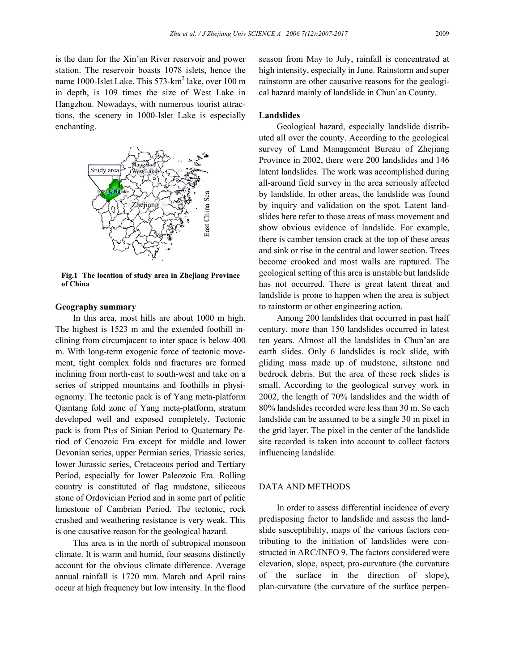is the dam for the Xin'an River reservoir and power station. The reservoir boasts 1078 islets, hence the name 1000-Islet Lake. This 573-km<sup>2</sup> lake, over 100 m in depth, is 109 times the size of West Lake in Hangzhou. Nowadays, with numerous tourist attractions, the scenery in 1000-Islet Lake is especially enchanting.



**Fig.1 The location of study area in Zhejiang Province of China**

### **Geography summary**

In this area, most hills are about 1000 m high. The highest is 1523 m and the extended foothill inclining from circumjacent to inter space is below 400 m. With long-term exogenic force of tectonic movement, tight complex folds and fractures are formed inclining from north-east to south-west and take on a series of stripped mountains and foothills in physiognomy. The tectonic pack is of Yang meta-platform Qiantang fold zone of Yang meta-platform, stratum developed well and exposed completely. Tectonic pack is from Pt<sub>3</sub>s of Sinian Period to Quaternary Period of Cenozoic Era except for middle and lower Devonian series, upper Permian series, Triassic series, lower Jurassic series, Cretaceous period and Tertiary Period, especially for lower Paleozoic Era. Rolling country is constituted of flag mudstone, siliceous stone of Ordovician Period and in some part of pelitic limestone of Cambrian Period. The tectonic, rock crushed and weathering resistance is very weak. This is one causative reason for the geological hazard.

This area is in the north of subtropical monsoon climate. It is warm and humid, four seasons distinctly account for the obvious climate difference. Average annual rainfall is 1720 mm. March and April rains occur at high frequency but low intensity. In the flood

season from May to July, rainfall is concentrated at high intensity, especially in June. Rainstorm and super rainstorm are other causative reasons for the geological hazard mainly of landslide in Chun'an County.

#### **Landslides**

Geological hazard, especially landslide distributed all over the county. According to the geological survey of Land Management Bureau of Zhejiang Province in 2002, there were 200 landslides and 146 latent landslides. The work was accomplished during all-around field survey in the area seriously affected by landslide. In other areas, the landslide was found by inquiry and validation on the spot. Latent landslides here refer to those areas of mass movement and show obvious evidence of landslide. For example, there is camber tension crack at the top of these areas and sink or rise in the central and lower section. Trees become crooked and most walls are ruptured. The geological setting of this area is unstable but landslide has not occurred. There is great latent threat and landslide is prone to happen when the area is subject to rainstorm or other engineering action.

Among 200 landslides that occurred in past half century, more than 150 landslides occurred in latest ten years. Almost all the landslides in Chun'an are earth slides. Only 6 landslides is rock slide, with gliding mass made up of mudstone, siltstone and bedrock debris. But the area of these rock slides is small. According to the geological survey work in 2002, the length of 70% landslides and the width of 80% landslides recorded were less than 30 m. So each landslide can be assumed to be a single 30 m pixel in the grid layer. The pixel in the center of the landslide site recorded is taken into account to collect factors influencing landslide.

## DATA AND METHODS

In order to assess differential incidence of every predisposing factor to landslide and assess the landslide susceptibility, maps of the various factors contributing to the initiation of landslides were constructed in ARC/INFO 9. The factors considered were elevation, slope, aspect, pro-curvature (the curvature of the surface in the direction of slope), plan-curvature (the curvature of the surface perpen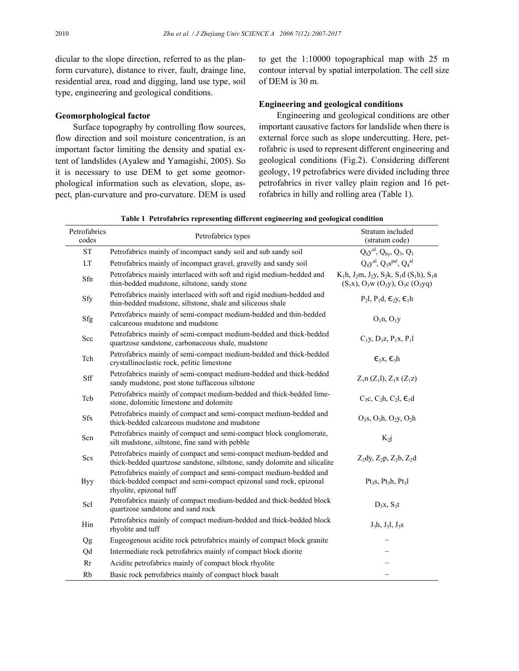dicular to the slope direction, referred to as the planform curvature), distance to river, fault, drainge line, residential area, road and digging, land use type, soil type, engineering and geological conditions.

# **Geomorphological factor**

Surface topography by controlling flow sources, flow direction and soil moisture concentration, is an important factor limiting the density and spatial extent of landslides (Ayalew and Yamagishi, 2005). So it is necessary to use DEM to get some geomorphological information such as elevation, slope, aspect, plan-curvature and pro-curvature. DEM is used to get the 1:10000 topographical map with 25 m contour interval by spatial interpolation. The cell size of DEM is 30 m.

# **Engineering and geological conditions**

Engineering and geological conditions are other important causative factors for landslide when there is external force such as slope undercutting. Here, petrofabric is used to represent different engineering and geological conditions (Fig.2). Considering different geology, 19 petrofabrics were divided including three petrofabrics in river valley plain region and 16 petrofabrics in hilly and rolling area (Table 1).

| Petrofabrics<br>codes | Petrofabrics types                                                                                                                                                 | Stratum included<br>(stratum code)                                                                                                                                    |
|-----------------------|--------------------------------------------------------------------------------------------------------------------------------------------------------------------|-----------------------------------------------------------------------------------------------------------------------------------------------------------------------|
| <b>ST</b>             | Petrofabrics mainly of incompact sandy soil and sub sandy soil                                                                                                     | $Q_hy^{al}$ , $Q_{hy}$ , $Q_3$ , $Q_1$                                                                                                                                |
| <b>LT</b>             | Petrofabrics mainly of incompact gravel, gravelly and sandy soil                                                                                                   | $Q_4y^{al}$ , $Q_3s^{pal}$ , $Q_4$ <sup>al</sup>                                                                                                                      |
| Sfn                   | Petrofabrics mainly interlaced with soft and rigid medium-bedded and<br>thin-bedded mudstone, siltstone, sandy stone                                               | $K_1h$ , J <sub>2</sub> m, J <sub>2</sub> y, S <sub>2</sub> k, S <sub>1</sub> d (S <sub>1</sub> h), S <sub>1</sub> a<br>$(S_1x)$ , $O_3w$ $(O_3y)$ , $O_3c$ $(O_3yq)$ |
| Sfy                   | Petrofabrics mainly interlaced with soft and rigid medium-bedded and<br>thin-bedded mudstone, siltstone, shale and siliceous shale                                 | $P_2l$ , $P_1d$ , $\epsilon_2y$ , $\epsilon_1h$                                                                                                                       |
| Sfg                   | Petrofabrics mainly of semi-compact medium-bedded and thin-bedded<br>calcareous mudstone and mudstone                                                              | $O_1n$ , $O_1y$                                                                                                                                                       |
| Scc                   | Petrofabrics mainly of semi-compact medium-bedded and thick-bedded<br>quartzose sandstone, carbonaceous shale, mudstone                                            | $C_1y, D_3z, P_1x, P_1l$                                                                                                                                              |
| Tch                   | Petrofabrics mainly of semi-compact medium-bedded and thick-bedded<br>crystallinoclastic rock, pelitic limestone                                                   | $\epsilon_3$ x, $\epsilon_3$ h                                                                                                                                        |
| Sff                   | Petrofabrics mainly of semi-compact medium-bedded and thick-bedded<br>sandy mudstone, post stone tuffaceous siltstone                                              | $Z_1n (Z_1l), Z_1x (Z_1z)$                                                                                                                                            |
| Tcb                   | Petrofabrics mainly of compact medium-bedded and thick-bedded lime-<br>stone, dolomitic limestone and dolomite                                                     | $C_3c$ , $C_2h$ , $C_2l$ , $\epsilon_1d$                                                                                                                              |
| Sfx                   | Petrofabrics mainly of compact and semi-compact medium-bedded and<br>thick-bedded calcareous mudstone and mudstone                                                 | $O_3s$ , $O_3h$ , $O_2y$ , $O_2h$                                                                                                                                     |
| Scn                   | Petrofabrics mainly of compact and semi-compact block conglomerate,<br>silt mudstone, siltstone, fine sand with pebble                                             | $K_2 j$                                                                                                                                                               |
| Scs                   | Petrofabrics mainly of compact and semi-compact medium-bedded and<br>thick-bedded quartzose sandstone, siltstone, sandy dolomite and silicalite                    | $Z_2$ dy, $Z_2$ p, $Z_2$ b, $Z_2$ d                                                                                                                                   |
| <b>Byy</b>            | Petrofabrics mainly of compact and semi-compact medium-bedded and<br>thick-bedded compact and semi-compact epizonal sand rock, epizonal<br>rhyolite, epizonal tuff | $Pt_3S$ , $Pt_3h$ , $Pt_3I$                                                                                                                                           |
| Scl                   | Petrofabrics mainly of compact medium-bedded and thick-bedded block<br>quartzose sandstone and sand rock                                                           | $D_3x, S_3t$                                                                                                                                                          |
| Hin                   | Petrofabrics mainly of compact medium-bedded and thick-bedded block<br>rhyolite and tuff                                                                           | $J_3h, J_3l, J_3s$                                                                                                                                                    |
| Qg                    | Eugeogenous acidite rock petrofabrics mainly of compact block granite                                                                                              |                                                                                                                                                                       |
| Qd                    | Intermediate rock petrofabrics mainly of compact block diorite                                                                                                     |                                                                                                                                                                       |
| Rr                    | Acidite petrofabrics mainly of compact block rhyolite                                                                                                              |                                                                                                                                                                       |
| Rb                    | Basic rock petrofabrics mainly of compact block basalt                                                                                                             |                                                                                                                                                                       |

**Table 1 Petrofabrics representing different engineering and geological condition**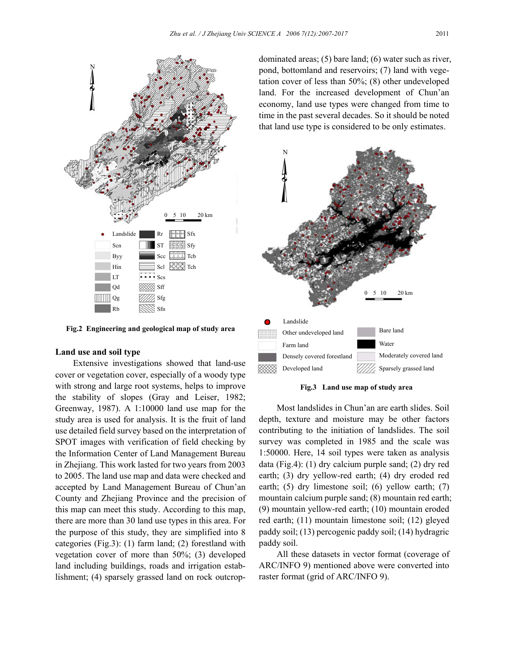

**Fig.2 Engineering and geological map of study area**

#### **Land use and soil type**

Extensive investigations showed that land-use cover or vegetation cover, especially of a woody type with strong and large root systems, helps to improve the stability of slopes (Gray and Leiser, 1982; Greenway, 1987). A 1:10000 land use map for the study area is used for analysis. It is the fruit of land use detailed field survey based on the interpretation of SPOT images with verification of field checking by the Information Center of Land Management Bureau in Zhejiang. This work lasted for two years from 2003 to 2005. The land use map and data were checked and accepted by Land Management Bureau of Chun'an County and Zhejiang Province and the precision of this map can meet this study. According to this map, there are more than 30 land use types in this area. For the purpose of this study, they are simplified into 8 categories (Fig.3): (1) farm land; (2) forestland with vegetation cover of more than 50%; (3) developed land including buildings, roads and irrigation establishment; (4) sparsely grassed land on rock outcropdominated areas; (5) bare land; (6) water such as river, pond, bottomland and reservoirs; (7) land with vegetation cover of less than 50%; (8) other undeveloped land. For the increased development of Chun'an economy, land use types were changed from time to time in the past several decades. So it should be noted that land use type is considered to be only estimates.



**Fig.3 Land use map of study area**

Most landslides in Chun'an are earth slides. Soil depth, texture and moisture may be other factors contributing to the initiation of landslides. The soil survey was completed in 1985 and the scale was 1:50000. Here, 14 soil types were taken as analysis data (Fig.4): (1) dry calcium purple sand; (2) dry red earth; (3) dry yellow-red earth; (4) dry eroded red earth; (5) dry limestone soil; (6) yellow earth; (7) mountain calcium purple sand; (8) mountain red earth; (9) mountain yellow-red earth; (10) mountain eroded red earth; (11) mountain limestone soil; (12) gleyed paddy soil; (13) percogenic paddy soil; (14) hydragric paddy soil.

All these datasets in vector format (coverage of ARC/INFO 9) mentioned above were converted into raster format (grid of ARC/INFO 9).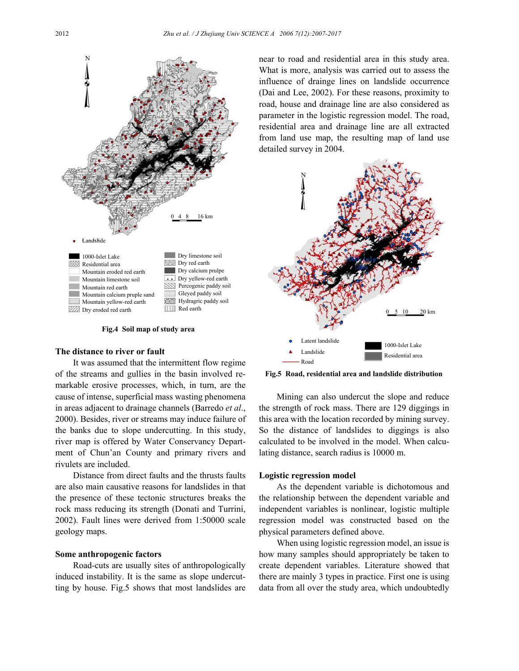

**Fig.4 Soil map of study area**

## **The distance to river or fault**

It was assumed that the intermittent flow regime of the streams and gullies in the basin involved remarkable erosive processes, which, in turn, are the cause of intense, superficial mass wasting phenomena in areas adjacent to drainage channels (Barredo *et al*., 2000). Besides, river or streams may induce failure of the banks due to slope undercutting. In this study, river map is offered by Water Conservancy Department of Chun'an County and primary rivers and rivulets are included.

Distance from direct faults and the thrusts faults are also main causative reasons for landslides in that the presence of these tectonic structures breaks the rock mass reducing its strength (Donati and Turrini, 2002). Fault lines were derived from 1:50000 scale geology maps.

#### **Some anthropogenic factors**

Road-cuts are usually sites of anthropologically induced instability. It is the same as slope undercutting by house. Fig.5 shows that most landslides are

near to road and residential area in this study area. What is more, analysis was carried out to assess the influence of drainge lines on landslide occurrence (Dai and Lee, 2002). For these reasons, proximity to road, house and drainage line are also considered as parameter in the logistic regression model. The road, residential area and drainage line are all extracted from land use map, the resulting map of land use detailed survey in 2004.



**Fig.5 Road, residential area and landslide distribution** 

Mining can also undercut the slope and reduce the strength of rock mass. There are 129 diggings in this area with the location recorded by mining survey. So the distance of landslides to diggings is also calculated to be involved in the model. When calculating distance, search radius is 10000 m.

#### **Logistic regression model**

As the dependent variable is dichotomous and the relationship between the dependent variable and independent variables is nonlinear, logistic multiple regression model was constructed based on the physical parameters defined above.

When using logistic regression model, an issue is how many samples should appropriately be taken to create dependent variables. Literature showed that there are mainly 3 types in practice. First one is using data from all over the study area, which undoubtedly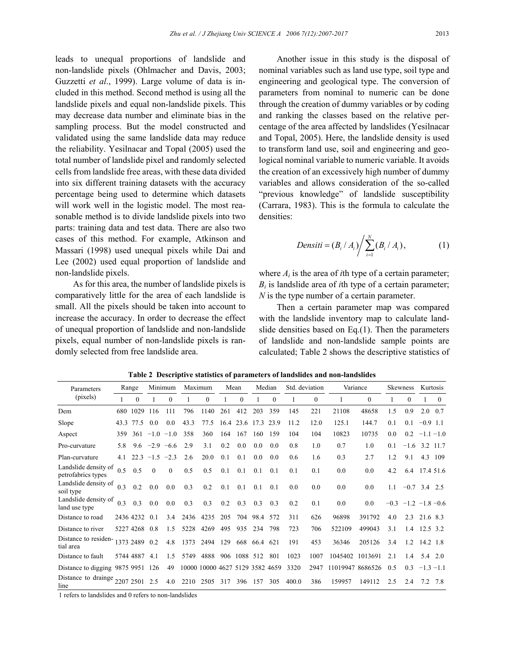leads to unequal proportions of landslide and non-landslide pixels (Ohlmacher and Davis, 2003; Guzzetti *et al*., 1999). Large volume of data is included in this method. Second method is using all the landslide pixels and equal non-landslide pixels. This may decrease data number and eliminate bias in the sampling process. But the model constructed and validated using the same landslide data may reduce the reliability. Yesilnacar and Topal (2005) used the total number of landslide pixel and randomly selected cells from landslide free areas, with these data divided into six different training datasets with the accuracy percentage being used to determine which datasets will work well in the logistic model. The most reasonable method is to divide landslide pixels into two parts: training data and test data. There are also two cases of this method. For example, Atkinson and Massari (1998) used unequal pixels while Dai and Lee (2002) used equal proportion of landslide and non-landslide pixels.

As for this area, the number of landslide pixels is comparatively little for the area of each landslide is small. All the pixels should be taken into account to increase the accuracy. In order to decrease the effect of unequal proportion of landslide and non-landslide pixels, equal number of non-landslide pixels is randomly selected from free landslide area.

Another issue in this study is the disposal of nominal variables such as land use type, soil type and engineering and geological type. The conversion of parameters from nominal to numeric can be done through the creation of dummy variables or by coding and ranking the classes based on the relative percentage of the area affected by landslides (Yesilnacar and Topal, 2005). Here, the landslide density is used to transform land use, soil and engineering and geological nominal variable to numeric variable. It avoids the creation of an excessively high number of dummy variables and allows consideration of the so-called "previous knowledge" of landslide susceptibility (Carrara, 1983). This is the formula to calculate the densities:

*Densiti* = 
$$
(B_i / A_i) / \sum_{i=1}^{N} (B_i / A_i)
$$
, (1)

where  $A_i$  is the area of *i*th type of a certain parameter;  $B_i$  is landslide area of *i*th type of a certain parameter; *N* is the type number of a certain parameter.

Then a certain parameter map was compared with the landslide inventory map to calculate landslide densities based on Eq.(1). Then the parameters of landslide and non-landslide sample points are calculated; Table 2 shows the descriptive statistics of

Parameters Range Minimum Maximum Mean Median Std. deviation Variance Skewness Kurtosis (pixels) 1 0 1 0 1 0 1 0 1 0 1 0 1 0 1 0 1 0 Dem 680 1029 116 111 796 1140 261 412 203 359 145 221 21108 48658 1.5 0.9 2.0 0.7 Slope 43.3 77.5 0.0 0.0 43.3 77.5 16.4 23.6 17.3 23.9 11.2 12.0 125.1 144.7 0.1 0.1 −0.9 1.1 Aspect 359 361 −1.0 −1.0 358 360 164 167 160 159 104 104 10823 10735 0.0 0.2 −1.1 −1.0 Pro-curvature 5.8 9.6 −2.9 −6.6 2.9 3.1 0.2 0.0 0.0 0.0 0.8 1.0 0.7 1.0 0.1 −1.6 3.2 11.7 Plan-curvature 4.1 22.3 −1.5 −2.3 2.6 20.0 0.1 0.1 0.0 0.0 0.6 1.6 0.3 2.7 1.2 9.1 4.3 109 Landslide density of extractional density of 0.5 0.5 0 0 0.5 0.5 0.1 0.1 0.1 0.1 0.1 0.1 0.0 0.0 4.2 6.4 17.4 51.6 Landslide density of soil type 0.3 0.2 0.0 0.0 0.3 0.2 0.1 0.1 0.1 0.1 0.0 0.0 0.0 0.0 1.1 −0.7 3.4 2.5 Landslide density of Landshide defisity of 0.3 0.3 0.0 0.0 0.3 0.3 0.2 0.3 0.3 0.3 0.2 0.1 0.0 0.0 −0.3 −1.2 −1.8 −0.6 compared to a Distance to road 2436 4232 0.1 3.4 2436 4235 205 704 98.4 572 311 626 96898 391792 4.0 2.3 21.6 8.3 Distance to river 5227 4268 0.8 1.5 5228 4269 495 935 234 798 723 706 522109 499043 3.1 1.4 12.5 3.2 Distance to residential area 1373 2489 0.2 4.8 1373 2494 129 668 66.4 621 191 453 36346 205126 3.4 1.2 14.2 1.8 Distance to fault 5744 4887 4.1 1.5 5749 4888 906 1088 512 801 1023 1007 1045402 1013691 2.1 1.4 5.4 2.0 Distance to digging 9875 9951 126 49 10000 10000 4627 5129 3582 4659 3320 2947 11019947 8686526 0.5 0.3 −1.3 −1.1

Distance to drainge 2207 2501 2.5 4.0 2210 2505 317 396 157 305 400.0 386 159957 149112 2.5 2.4 7.2 7.8 line

**Table 2 Descriptive statistics of parameters of landslides and non-landslides** 

1 refers to landslides and 0 refers to non-landslides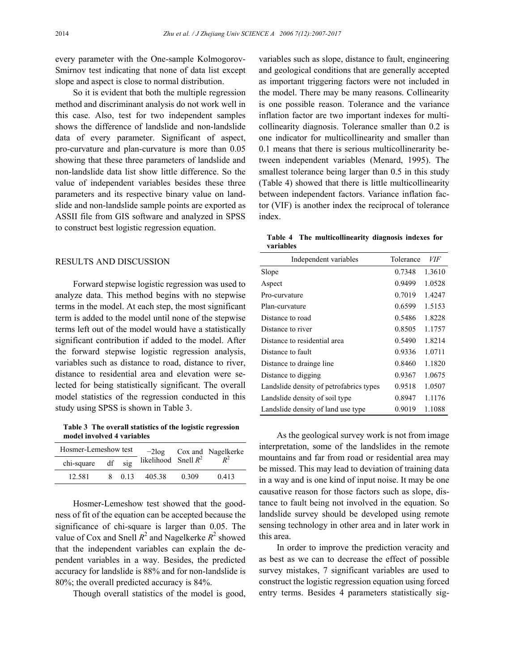every parameter with the One-sample Kolmogorov-Smirnov test indicating that none of data list except slope and aspect is close to normal distribution.

So it is evident that both the multiple regression method and discriminant analysis do not work well in this case. Also, test for two independent samples shows the difference of landslide and non-landslide data of every parameter. Significant of aspect, pro-curvature and plan-curvature is more than 0.05 showing that these three parameters of landslide and non-landslide data list show little difference. So the value of independent variables besides these three parameters and its respective binary value on landslide and non-landslide sample points are exported as ASSII file from GIS software and analyzed in SPSS to construct best logistic regression equation.

# RESULTS AND DISCUSSION

Forward stepwise logistic regression was used to analyze data. This method begins with no stepwise terms in the model. At each step, the most significant term is added to the model until none of the stepwise terms left out of the model would have a statistically significant contribution if added to the model. After the forward stepwise logistic regression analysis, variables such as distance to road, distance to river, distance to residential area and elevation were selected for being statistically significant. The overall model statistics of the regression conducted in this study using SPSS is shown in Table 3.

**Table 3 The overall statistics of the logistic regression model involved 4 variables** 

| Hosmer-Lemeshow test |    |          |                        |       | $-2\log$ Cox and Nagelkerke |  |
|----------------------|----|----------|------------------------|-------|-----------------------------|--|
| chi-square           |    | $df$ sig | likelihood Snell $R^2$ |       |                             |  |
| 12.581               | 8. | 0.13     | 405.38                 | 0.309 | 0.413                       |  |

Hosmer-Lemeshow test showed that the goodness of fit of the equation can be accepted because the significance of chi-square is larger than 0.05. The value of Cox and Snell  $R^2$  and Nagelkerke  $R^2$  showed that the independent variables can explain the dependent variables in a way. Besides, the predicted accuracy for landslide is 88% and for non-landslide is 80%; the overall predicted accuracy is 84%.

Though overall statistics of the model is good,

variables such as slope, distance to fault, engineering and geological conditions that are generally accepted as important triggering factors were not included in the model. There may be many reasons. Collinearity is one possible reason. Tolerance and the variance inflation factor are two important indexes for multicollinearity diagnosis. Tolerance smaller than 0.2 is one indicator for multicollinearity and smaller than 0.1 means that there is serious multicollinerarity between independent variables (Menard, 1995). The smallest tolerance being larger than 0.5 in this study (Table 4) showed that there is little multicollinearity between independent factors. Variance inflation factor (VIF) is another index the reciprocal of tolerance index.

|           | Table 4 The multicollinearity diagnosis indexes for |  |  |
|-----------|-----------------------------------------------------|--|--|
| variables |                                                     |  |  |

| Independent variables                   | Tolerance | VIF    |
|-----------------------------------------|-----------|--------|
| Slope                                   | 0.7348    | 1.3610 |
| Aspect                                  | 0.9499    | 1.0528 |
| Pro-curvature                           | 0.7019    | 1.4247 |
| Plan-curvature                          | 0.6599    | 1.5153 |
| Distance to road                        | 0.5486    | 1.8228 |
| Distance to river                       | 0.8505    | 1.1757 |
| Distance to residential area            | 0.5490    | 1 8214 |
| Distance to fault                       | 0.9336    | 1.0711 |
| Distance to drainge line                | 0.8460    | 1.1820 |
| Distance to digging                     | 0.9367    | 1.0675 |
| Landslide density of petrofabrics types | 0.9518    | 1.0507 |
| Landslide density of soil type          | 0.8947    | 1.1176 |
| Landslide density of land use type      | 0.9019    | 1.1088 |

As the geological survey work is not from image interpretation, some of the landslides in the remote mountains and far from road or residential area may be missed. This may lead to deviation of training data in a way and is one kind of input noise. It may be one causative reason for those factors such as slope, distance to fault being not involved in the equation. So landslide survey should be developed using remote sensing technology in other area and in later work in this area.

In order to improve the prediction veracity and as best as we can to decrease the effect of possible survey mistakes, 7 significant variables are used to construct the logistic regression equation using forced entry terms. Besides 4 parameters statistically sig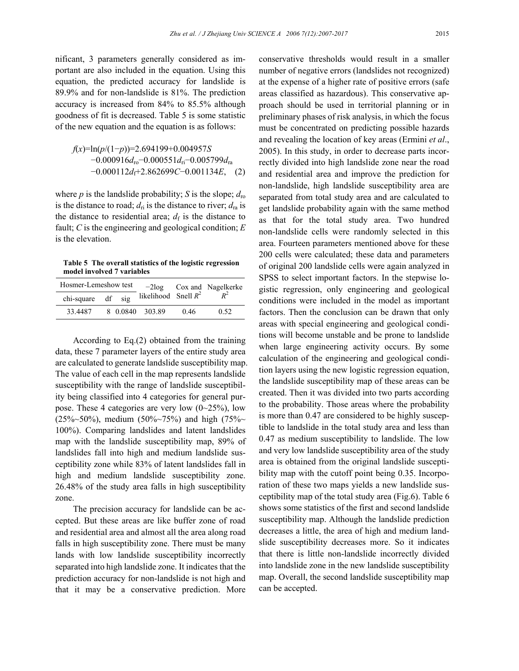nificant, 3 parameters generally considered as important are also included in the equation. Using this equation, the predicted accuracy for landslide is 89.9% and for non-landslide is 81%. The prediction

accuracy is increased from 84% to 85.5% although goodness of fit is decreased. Table 5 is some statistic of the new equation and the equation is as follows:

*f*(*x*)=ln(*p*/(1−*p*))=2.694199+0.004957*S* −0.000916*d*ro−0.000551*d*ri−0.005799*d*ra −0.000112*d*f+2.862699*C*−0.001134*E*, (2)

where *p* is the landslide probability; *S* is the slope;  $d_{\text{ro}}$ is the distance to road;  $d_{ri}$  is the distance to river;  $d_{ra}$  is the distance to residential area;  $d_f$  is the distance to fault; *C* is the engineering and geological condition; *E* is the elevation.

**Table 5 The overall statistics of the logistic regression model involved 7 variables** 

| Hosmer-Lemeshow test |  |                        |      | $-2\log$ Cox and Nagelkerke |  |
|----------------------|--|------------------------|------|-----------------------------|--|
| chi-square df sig    |  | likelihood Snell $R^2$ |      |                             |  |
| 33 4487              |  | 8 0.0840 303.89        | 0.46 | 0.52                        |  |

According to Eq.(2) obtained from the training data, these 7 parameter layers of the entire study area are calculated to generate landslide susceptibility map. The value of each cell in the map represents landslide susceptibility with the range of landslide susceptibility being classified into 4 categories for general purpose. These 4 categories are very low  $(0~25\%)$ , low  $(25\%~50\%)$ , medium  $(50\%~75\%)$  and high  $(75\%~$ 100%). Comparing landslides and latent landslides map with the landslide susceptibility map, 89% of landslides fall into high and medium landslide susceptibility zone while 83% of latent landslides fall in high and medium landslide susceptibility zone. 26.48% of the study area falls in high susceptibility zone.

The precision accuracy for landslide can be accepted. But these areas are like buffer zone of road and residential area and almost all the area along road falls in high susceptibility zone. There must be many lands with low landslide susceptibility incorrectly separated into high landslide zone. It indicates that the prediction accuracy for non-landslide is not high and that it may be a conservative prediction. More conservative thresholds would result in a smaller number of negative errors (landslides not recognized) at the expense of a higher rate of positive errors (safe areas classified as hazardous). This conservative approach should be used in territorial planning or in preliminary phases of risk analysis, in which the focus must be concentrated on predicting possible hazards and revealing the location of key areas (Ermini *et al*., 2005). In this study, in order to decrease parts incorrectly divided into high landslide zone near the road and residential area and improve the prediction for non-landslide, high landslide susceptibility area are separated from total study area and are calculated to get landslide probability again with the same method as that for the total study area. Two hundred non-landslide cells were randomly selected in this area. Fourteen parameters mentioned above for these 200 cells were calculated; these data and parameters of original 200 landslide cells were again analyzed in SPSS to select important factors. In the stepwise logistic regression, only engineering and geological conditions were included in the model as important factors. Then the conclusion can be drawn that only areas with special engineering and geological conditions will become unstable and be prone to landslide when large engineering activity occurs. By some calculation of the engineering and geological condition layers using the new logistic regression equation, the landslide susceptibility map of these areas can be created. Then it was divided into two parts according to the probability. Those areas where the probability is more than 0.47 are considered to be highly susceptible to landslide in the total study area and less than 0.47 as medium susceptibility to landslide. The low and very low landslide susceptibility area of the study area is obtained from the original landslide susceptibility map with the cutoff point being 0.35. Incorporation of these two maps yields a new landslide susceptibility map of the total study area (Fig.6). Table 6 shows some statistics of the first and second landslide susceptibility map. Although the landslide prediction decreases a little, the area of high and medium landslide susceptibility decreases more. So it indicates that there is little non-landslide incorrectly divided into landslide zone in the new landslide susceptibility map. Overall, the second landslide susceptibility map can be accepted.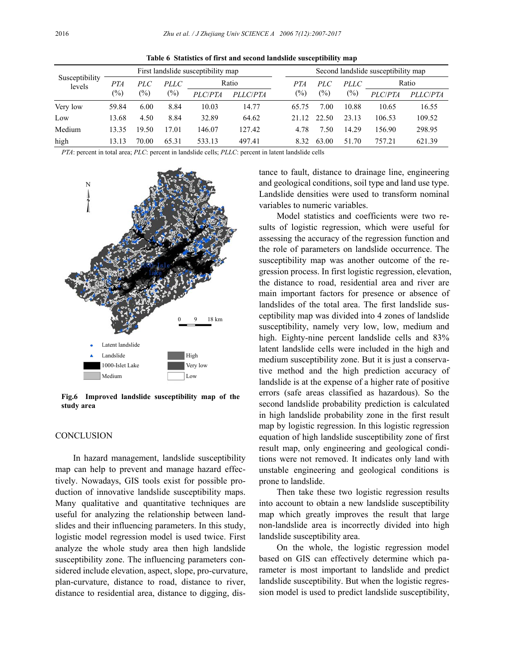| Susceptibility<br>levels | First landslide susceptibility map |               |                |         |                 | Second landslide susceptibility map |        |             |         |                 |
|--------------------------|------------------------------------|---------------|----------------|---------|-----------------|-------------------------------------|--------|-------------|---------|-----------------|
|                          | <b>PTA</b><br>$(\%)$               | PLC<br>$(\%)$ | PLLC<br>$(\%)$ | Ratio   |                 | <b>PTA</b>                          | PLC    | <i>PLLC</i> | Ratio   |                 |
|                          |                                    |               |                | PLC/PTA | <b>PLLC/PTA</b> | $(\%)$                              | $(\%)$ | $(\%)$      | PLC/PTA | <b>PLLC/PTA</b> |
| Very low                 | 59.84                              | 6.00          | 8.84           | 10.03   | 14.77           | 65.75                               | 00.    | 10.88       | 10.65   | 16.55           |
| Low                      | 13.68                              | 4.50          | 8.84           | 32.89   | 64.62           | 21 12                               | 22.50  | 23.13       | 106.53  | 109.52          |
| Medium                   | 13.35                              | 19.50         | 17.01          | 146.07  | 127.42          | 4.78                                | 7.50   | 14.29       | 156.90  | 298.95          |
| high                     | 13.13                              | 70.00         | 65.31          | 533.13  | 497.41          | 8.32                                | 63.00  | 51.70       | 757.21  | 621.39          |

**Table 6 Statistics of first and second landslide susceptibility map** 

*PTA*: percent in total area; *PLC*: percent in landslide cells; *PLLC*: percent in latent landslide cells



**Fig.6 Improved landslide susceptibility map of the study area**

#### **CONCLUSION**

In hazard management, landslide susceptibility map can help to prevent and manage hazard effectively. Nowadays, GIS tools exist for possible production of innovative landslide susceptibility maps. Many qualitative and quantitative techniques are useful for analyzing the relationship between landslides and their influencing parameters. In this study, logistic model regression model is used twice. First analyze the whole study area then high landslide susceptibility zone. The influencing parameters considered include elevation, aspect, slope, pro-curvature, plan-curvature, distance to road, distance to river, distance to residential area, distance to digging, distance to fault, distance to drainage line, engineering and geological conditions, soil type and land use type. Landslide densities were used to transform nominal variables to numeric variables.

Model statistics and coefficients were two results of logistic regression, which were useful for assessing the accuracy of the regression function and the role of parameters on landslide occurrence. The susceptibility map was another outcome of the regression process. In first logistic regression, elevation, the distance to road, residential area and river are main important factors for presence or absence of landslides of the total area. The first landslide susceptibility map was divided into 4 zones of landslide susceptibility, namely very low, low, medium and high. Eighty-nine percent landslide cells and 83% latent landslide cells were included in the high and medium susceptibility zone. But it is just a conservative method and the high prediction accuracy of landslide is at the expense of a higher rate of positive errors (safe areas classified as hazardous). So the second landslide probability prediction is calculated in high landslide probability zone in the first result map by logistic regression. In this logistic regression equation of high landslide susceptibility zone of first result map, only engineering and geological conditions were not removed. It indicates only land with unstable engineering and geological conditions is prone to landslide.

Then take these two logistic regression results into account to obtain a new landslide susceptibility map which greatly improves the result that large non-landslide area is incorrectly divided into high landslide susceptibility area.

On the whole, the logistic regression model based on GIS can effectively determine which parameter is most important to landslide and predict landslide susceptibility. But when the logistic regression model is used to predict landslide susceptibility,